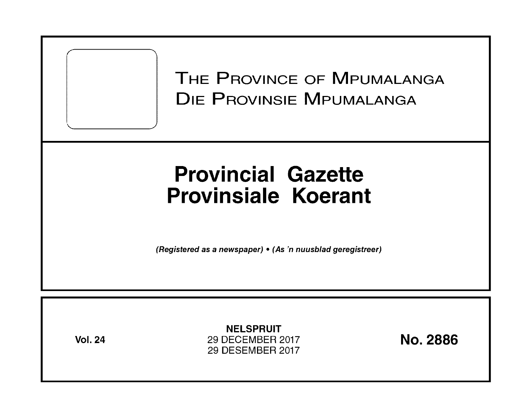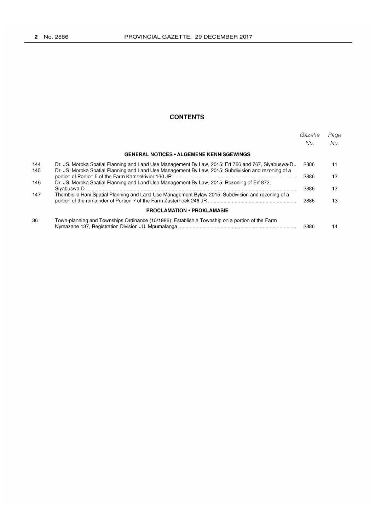## **CONTENTS**

|     |                                                                                                     | Gazette<br>No. | Page<br>No. |
|-----|-----------------------------------------------------------------------------------------------------|----------------|-------------|
|     | <b>GENERAL NOTICES • ALGEMENE KENNISGEWINGS</b>                                                     |                |             |
| 144 | Dr. JS. Moroka Spatial Planning and Land Use Management By Law, 2015: Erf 766 and 767, Siyabuswa-D  | 2886           | 11          |
| 145 | Dr. JS. Moroka Spatial Planning and Land Use Management By Law, 2015: Subdivision and rezoning of a | 2886           | 12          |
| 146 | Dr. JS. Moroka Spatial Planning and Land Use Management By Law, 2015: Rezoning of Erf 872,          | 2886           | 12          |
| 147 | Thembisile Hani Spatial Planning and Land Use Management Bylaw 2015: Subdivision and rezoning of a  | 2886           | 13          |
|     | <b>PROCLAMATION • PROKLAMASIE</b>                                                                   |                |             |
| 36  | Town-planning and Townships Ordinance (15/1986): Establish a Township on a portion of the Farm      | 2886           | 14          |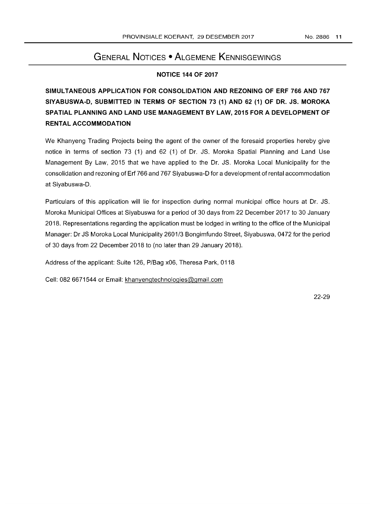# GENERAL NOTICES • ALGEMENE KENNISGEWINGS

## NOTICE 144 OF 2017

# SIMULTANEOUS APPLICATION FOR CONSOLIDATION AND REZONING OF ERF 766 AND 767 SIYABUSWA-D, SUBMITTED IN TERMS OF SECTION 73 (1) AND 62 (1) OF DR. JS. MOROKA SPATIAL PLANNING AND LAND USE MANAGEMENT BY LAW, 2015 FOR A DEVELOPMENT OF RENTAL ACCOMMODATION

We Khanyeng Trading Projects being the agent of the owner of the foresaid properties hereby give notice in terms of section 73 (1) and 62 (1) of Dr. JS. Moroka Spatial Planning and Land Use Management By Law, 2015 that we have applied to the Dr. JS. Moroka Local Municipality for the consolidation and rezoning of Erf 766 and 767 Siyabuswa-D for a development of rental accommodation at Siyabuswa-D.

Particulars of this application will lie for inspection during normal municipal office hours at Dr. JS. Moroka Municipal Offices at Siyabuswa for a period of 30 days from 22 December 2017 to 30 January 2018. Representations regarding the application must be lodged in writing to the office of the Municipal Manager: Dr JS Moroka Local Municipality 2601/3 Bongimfundo Street, Siyabuswa, 0472 for the period of 30 days from 22 December 2018 to (no later than 29 January 2018).

Address of the applicant: Suite 126, PIBag x06, Theresa Park, 0118

Cell: 082 6671544 or Email: khanyengtechnologies@gmail.com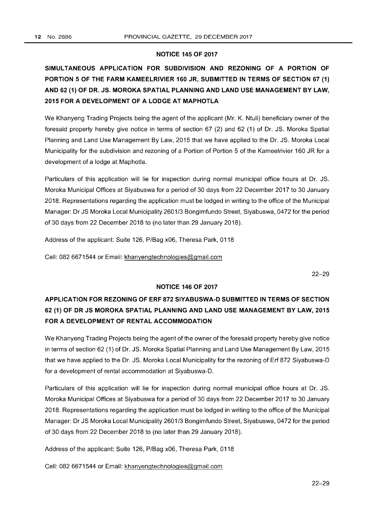### **NOTICE 145 OF 2017**

# **SIMULTANEOUS APPLICATION FOR SUBDIVISION AND REZONING OF A PORTION OF PORTION 5 OF THE FARM KAMEELRIVIER 160 JR, SUBMITTED IN TERMS OF SECTION 67 (1) AND 62 (1) OF DR. JS. MOROKA SPATIAL PLANNING AND LAND USE MANAGEMENT BY LAW, 2015 FOR A DEVELOPMENT OF A LODGE AT MAPHOTLA**

We Khanyeng Trading Projects being the agent of the applicant (Mr. K. Ntuli) beneficiary owner of the foresaid property hereby give notice in terms of section 67 (2) and 62 (1) of Dr. JS. Moroka Spatial Planning and Land Use Management By Law, 2015 that we have applied to the Dr. JS. Moroka Local Municipality for the subdivision and rezoning of a Portion of Portion 5 of the Kameelrivier 160 JR for a development of a lodge at Maphotla.

Particulars of this application will lie for inspection during normal municipal office hours at Dr. JS. Moroka Municipal Offices at Siyabuswa for a period of 30 days from 22 December 2017 to 30 January 2018. Representations regarding the application must be lodged in writing to the office of the Municipal Manager: Dr JS Moroka Local Municipality 2601/3 Bongimfundo Street, Siyabuswa, 0472 for the period of 30 days from 22 December 2018 to (no later than 29 January 2018).

Address of the applicant: Suite 126, P/Bag x06, Theresa Park, 0118

Cell: 082 6671544 or Email: khanyengtechnologies@gmail.com

22-29

### **NOTICE 146 OF 2017**

# **APPLICATION FOR REZONING OF ERF 872 SIYABUSWA-D SUBMITTED IN TERMS OF SECTION 62 (1) OF DR JS MOROKA SPATIAL PLANNING AND LAND USE MANAGEMENT BY LAW, 2015 FOR A DEVELOPMENT OF RENTAL ACCOMMODATION**

We Khanyeng Trading Projects being the agent of the owner of the foresaid property hereby give notice in terms of section 62 (1) of Dr. JS. Moroka Spatial Planning and Land Use Management By Law, 2015 that we have applied to the Dr. JS. Moroka Local Municipality for the rezoning of Erf 872 Siyabuswa-D for a development of rental accommodation at Siyabuswa-D.

Particulars of this application will lie for inspection during normal municipal office hours at Dr. JS. Moroka Municipal Offices at Siyabuswa for a period of 30 days from 22 December 2017 to 30 January 2018. Representations regarding the application must be lodged in writing to the office of the Municipal Manager: Dr JS Moroka Local Municipality 2601/3 Bongimfundo Street, Siyabuswa, 0472 for the period of 30 days from 22 December 2018 to (no later than 29 January 2018).

Address of the applicant: Suite 126, P/Bag x06, Theresa Park, 0118

Cell: 082 6671544 or Email: khanyengtechnologies@gmail.com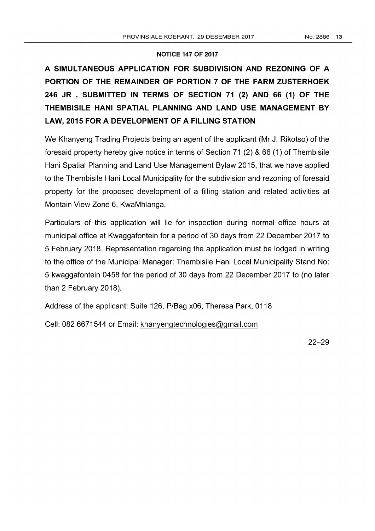## **NOTICE 147 OF 2017**

# **A SIMULTANEOUS APPLICATION FOR SUBDIVISION AND REZONING OF A PORTION OF THE REMAINDER OF PORTION 7 OF THE FARM ZUSTERHOEK 246 JR , SUBMITTED IN TERMS OF SECTION 71 (2) AND 66 (1) OF THE THEMBISILE HANI SPATIAL PLANNING AND LAND USE MANAGEMENT BY LAW, 2015 FOR A DEVELOPMENT OF A FILLING STATION**

We Khanyeng Trading Projects being an agent of the applicant (Mr.J. Rikotso) of the foresaid property hereby give notice in terms of Section 71 (2) & 66 (1) of Thembisile Hani Spatial Planning and Land Use Management Bylaw 2015, that we have applied to the Thembisile Hani Local Municipality for the subdivision and rezoning of foresaid property for the proposed development of a filling station and related activities at Montain View Zone 6, KwaMhlanga.

Particulars of this application will lie for inspection during normal office hours at municipal office at Kwaggafontein for a period of 30 days from 22 December 2017 to 5 February 2018. Representation regarding the application must be lodged in writing to the office of the Municipal Manager: Thembisile Hani Local Municipality Stand No: 5 kwaggafontein 0458 for the period of 30 days from 22 December 2017 to (no later than 2 February 2018).

Address of the applicant: Suite 126, P/Bag x06, Theresa Park, 0118

Cell: 082 6671544 or Email: khanyengtechnologies@gmail.com

22-29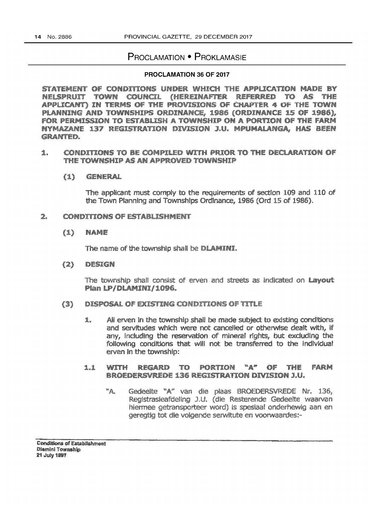## **PROCLAMATION • PROKLAMASIE**

### PROCLAMATION 36 OF 2017

STATEMENT OF CONDITIONS UNDER WHICH THE APPLICATION MADE BY NELSPRUIT TOWN COUNCIL (HEREINAFTER REFERRED TO AS - The APPLICANT) IN TERMS OF THE PROVISIONS OF CHAPTER 4 OF THE TOWN PLANNING AND TOWNSHIPS ORDINANCE, 1986 (ORDINANCE 15 OF 1986), FOR PERMISSION TO ESTABLISH A TOWNSHIP ON A PORTION OF THE FARM NYMAZANE 137 REGISTRATION DIVISION J.U. MPUMALANGA, HAS BEEN **GRANTED.** 

### CONDITIONS TO BE COMPILED WITH PRIOR TO THE DECLARATION OF 1. THE TOWNSHIP AS AN APPROVED TOWNSHIP

### $(1)$ GENERAL

The applicant must comply to the requirements of section 109 and 110 of the Town Planning and Townships Ordinance, 1986 (Ord 15 of 1986).

#### **CONDITIONS OF ESTABLISHMENT** ng.

### $(1)$ **NAME**

The name of the township shall be DLAMINI.

### $(2)$ DESIGN

The township shall consist of erven and streets as indicated on Lavout Plan LP/DLAMINI/1096.

#### DISPOSAL OF EXISTING CONDITIONS OF TITLE (3)

All erven in the township shall be made subject to existing conditions 1. and servitudes which were not cancelled or otherwise dealt with, if any, including the reservation of mineral rights, but excluding the following conditions that will not be transferred to the individual erven in the township:

#### regard to  $\mathbb{Z}^m$ WITH PORTION of the FARM 1.1 **BROEDERSVREDE 136 REGISTRATION DIVISION J.U.**

Gedeelte "A" van die plaas BROEDERSVREDE Nr. 136.  $\mathbb{Z}^n$ Registrasieafdeling J.U. (die Resterende Gedeelte waarvan hiermee getransporteer word) is spesiaal onderhewig aan en geregtig tot die volgende serwitute en voorwaardes:-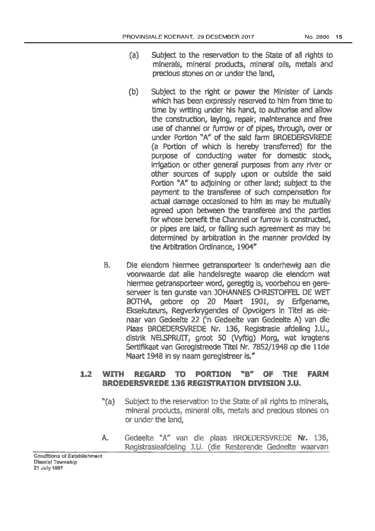- Subject to the reservation to the State of all rights to {ä} minerals, mineral products, mineral oils, metals and precious stones on or under the land.
- Subject to the right or power the Minister of Lands  $\langle 0 \rangle$ which has been expressly reserved to him from time to time by writing under his hand, to authorise and allow the construction, laying, repair, maintenance and free use of channel or furrow or of pipes, through, over or under Portion "A" of the said farm BROEDERSVREDE (a Portion of which is hereby transferred) for the purpose of conducting water for domestic stock, irrigation or other general purposes from any river or other sources of supply upon or outside the said Portion "A" to adjoining or other land; subject to the payment to the transferee of such compensation for actual damage occasioned to him as may be mutually agreed upon between the transferee and the parties for whose benefit the Channel or furrow is constructed. or pipes are laid, or failing such agreement as may be determined by arbitration in the manner provided by the Arbitration Ordinance, 1904"
- B. Die eiendom hiermee getransporteer is onderhewig aan die voorwaarde dat alle handelsregte waarop die elendom wat hiermee getransporteer word, geregtig is, voorbehou en gereserveer is ten gunste van JOHANNES CHRISTOFFEL DE WET BOTHA, gebore op 20 Maart 1901, sy Erfgename, Eksekuteurs, Regverkrygendes of Opvolgers in Titel as elenaar van Gedeelte 22 ('n Gedeelte van Gedeelte A) van die Plaas BROEDERSVREDE Nr. 136, Registrasie afdeling J.U., distrik NELSPRUTT, groot 50 (Vyftig) Morg, wat kragtens Sertifikaat van Geregistreede Titel Nr. 7852/1948 op die 11de Maart 1948 in sy naam geregistreer is."

#### 1 with REGARD PORTION mga 23 FARM TC. 03 THE **BROEDERSVREDE 136 REGISTRATION DIVISION J.U.**

- $"$ (a) Subject to the reservation to the State of all rights to minerals, mineral products, mineral oils, metals and precious stones on or under the land,
- Gedeelte "A" van die plaas BROEDERSVREDE Nr. 136, Å. Registrasieafdeling J.U. (die Resterende Gedeelte waarvan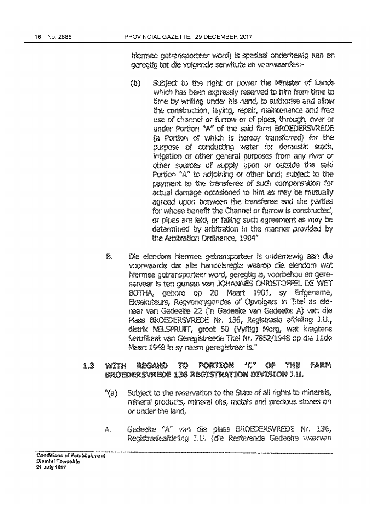hiermee getransporteer word) is spesiaal onderhewig aan en geregtig tot die volgende serwitute en voorwaardes:-

- $(b)$ Subject to the right or power the Minister of Lands which has been expressly reserved to him from time to time by writing under his hand, to authorise and allow the construction, laying, repair, maintenance and free use of channel or furrow or of pipes, through, over or under Portion "A" of the said farm BROEDERSVREDE (a Portion of which is hereby transferred) for the purpose of conducting water for domestic stock, Irrigation or other general purposes from any river or other sources of supply upon or outside the sald Portion "A" to adjoining or other land; subject to the payment to the transferee of such compensation for actual damage occasioned to him as may be mutually agreed upon between the transferee and the parties for whose benefit the Channel or furrow is constructed, or pipes are laid, or failing such agreement as may be determined by arbitration in the manner provided by the Arbitration Ordinance, 1904"
- Die eiendom hiermee getransporteer is onderhewig aan die R. voorwaarde dat alle handelsregte waarop die eiendom wat hiermee getransporteer word, geregtig is, voorbehou en gereserveer is ten gunste van JOHANNES CHRISTOFFEL DE WET BOTHA, gebore op 20 Maart 1901, sy Erfgename, Eksekuteurs, Regverkrygendes of Opvolgers in Titel as elenaar van Gedeelte 22 ('n Gedeelte van Gedeelte A) van die Plaas BROEDERSVREDE Nr. 136, Registrasie afdeling J.U., distrik NELSPRUIT, groot 50 (Vyftig) Morg, wat kragtens Sertifikaat van Geregistreede Titel Nr. 7852/1948 op die 11de Maart 1948 in sy naam geregistreer is."

#### T0 PORTION ng n OF. Farm 13 REGARD THE with **BROEDERSVREDE 136 REGISTRATION DIVISION J.U.**

- $"$ (a) Subject to the reservation to the State of all rights to minerals, mineral products, mineral oils, metals and precious stones on or under the land,
- Gedeelte "A" van die plaas BROEDERSVREDE Nr. 136, A. Registrasieafdeling J.U. (die Resterende Gedeelte waarvan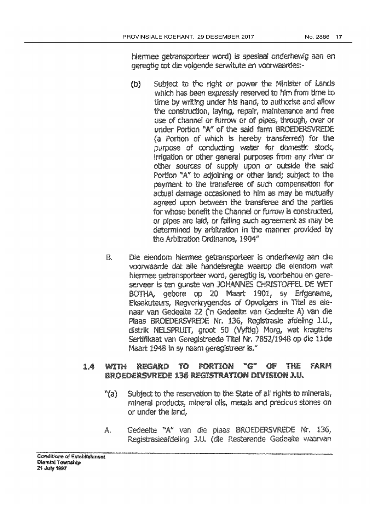hiermee getransporteer word) is spesiaal onderhewig aan en geregtig tot die volgende serwitute en voorwaardes:-

- Subtect to the right or power the Minister of Lands  $(b)$ which has been expressly reserved to him from time to time by writing under his hand, to authorise and allow the construction, laving, repair, maintenance and free use of channel or furrow or of pipes, through, over or under Portion "A" of the said farm BROEDERSVREDE (a Portion of which is hereby transferred) for the purpose of conducting water for domestic stock, irrigation or other general purposes from any river or other sources of supply upon or outside the said Portion "A" to adioining or other land: subject to the payment to the transferee of such compensation for actual damage occasioned to him as may be mutually agreed upon between the transferee and the parties for whose benefit the Channel or furrow is constructed. or pipes are laid, or failing such agreement as may be determined by arbitration in the manner provided by the Arbitration Ordinance, 1904"
- Die eiendom hiermee getransporteer is onderhewig aan die B. voorwaarde dat alle handelsregte waarop die eiendom wat hiermee getransporteer word, geregtig is, voorbehou en gereserveer is ten gunste van JOHANNES CHRISTOFFEL DE WET BOTHA, gebore op 20 Maart 1901, sy Erfgename, Eksekuteurs, Regverkrygendes of Opvolgers in Titel as elenaar van Gedeelte 22 ('n Gedeelte van Gedeelte A) van die Plaas BROEDERSVREDE Nr. 136, Registrasie afdeling J.U., distrik NELSPRUIT, groot 50 (Vyftig) Morg, wat kragtens Sertifikaat van Geregistreede Titel Nr. 7852/1948 op die 11de Maart 1948 In sy naam geregistreer is."

#### ™∰ PORTION OF. Farm 1.A with REGARD TO THE **BROEDERSVREDE 136 REGISTRATION DIVISION J.U.**

- Subject to the reservation to the State of all rights to minerals,  $"$ (a) mineral products, mineral oils, metals and precious stones on or under the land.
- Gedeelte "A" van die plaas BROEDERSVREDE Nr. 136, A. Registrasieafdeling J.U. (dle Resterende Gedeelte waarvan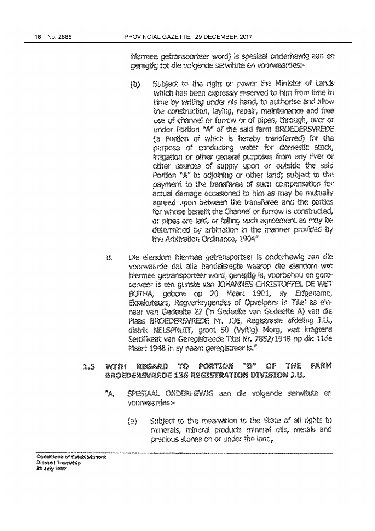hiermee getransporteer word) is spesiaal onderhewig aan en dereggia tot die volgende serwitute en voorwaardes:-

- Subject to the right or power the Minister of Lands  $(b)$ which has been expressly reserved to him from time to time by writing under his hand, to authorise and allow the construction, laving, repair, maintenance and free use of channel or furrow or of pipes, through, over or under Portion "A" of the said farm BROEDERSVREDE (a Portion of which is hereby transferred) for the purpose of conducting water for domestic stock, irrigation or other general purposes from any river or other sources of supply upon or outside the said Portion "A" to adjoining or other land; subject to the payment to the transferee of such compensation for actual damage occasioned to him as may be mutually agreed upon between the transferee and the parties for whose benefit the Channel or furrow is constructed, or pipes are laid, or falling such agreement as may be determined by arbitration in the manner provided by the Arbitration Ordinance, 1904"
- Die eiendom hiermee getransporteer is onderhewig aan die B. voorwaarde dat alle handelsregte waarop die eiendom wat hiermee getransporteer word, geregtig is, voorbehou en gereserveer is ten gunste van JOHANNES CHRISTOFFEL DE WET BOTHA, gebore op 20 Maart 1901, sy Erfgename, Eksekuteurs, Regverkrygendes of Opvolgers in Titel as elenaar van Gedeelte 22 ('n Gedeelte van Gedeelte A) van die Plaas BROEDERSVREDE Nr. 136, Registrasie afdeling J.U., distrik NELSPRUIT, groot 50 (Vyftig) Morg, wat kragtens Sertifikaat van Geregistreede Titel Nr. 7852/1948 op die 11de Maart 1948 in sy naam geregistreer is."

#### $" \mathbb{D}'''$ of THE FARM 1.5 wtth REGARD TC. portion BROEDERSVREDE 136 REGISTRATION DIVISION J.U.

- ۳Ą. SPESIAAL ONDERHEWIG aan die volgende serwitute en voorwaardes:-
	- Subject to the reservation to the State of all rights to (a) minerals, mineral products mineral oils, metals and precious stones on or under the land.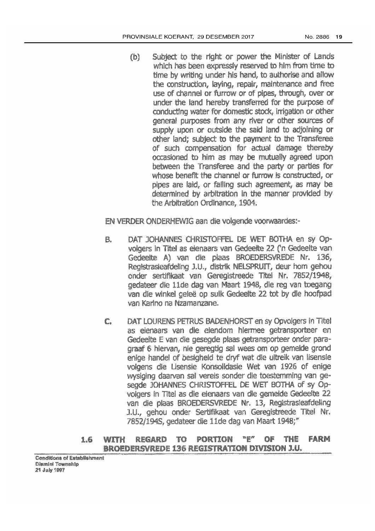(b) Subject to the right or power the Minister of Lands which has been expressly reserved to him from time to time by writing under his hand, to authorise and allow the construction, laying, repair, maintenance and free use of channel or furrow or of plpes, through, over or under the land hereby transferred for the purpose of conducting water for domestic stock, irrigation or other general purposes from any river or other sources of supply upon or outside the said land to adjoining or other land; subject to the payment to the Transferee of such compensation for actual damage thereby occasioned to him as may be mutually egreed upon between the Transferee and the party or parties for whose benefit the channel or furrow is constructed, or pipes are laid, or falling such agreement, as may be determined by arbitration in the manner provided by the Arbitration Ordinance, 1904.

EN VERDER ONDERHEWIG aan die volgende voorwaardes:-

- DAT JOHANNES CHRISTOFFEL DE WET BOTHA en SY OP-8. volgers in Titel as elenaars van Gedeelte 22 ('n Gedeelte van Gedeelte A) van die plaas BROEDERSVREDE Nr. 136, Registrasieafdeling J.U., distrik NELSPRUIT, deur hom gehou onder sertifikaat van Geregistreede Titel Nr. 7852/1948, gedateer die 11de dag van Maart 1948, die reg van toegang van die winkel geleë op sulk Gedeelte 22 tot by die hoofpad van Karino na Nzamanzane.
- DAT LOURENS PETRUS BADENHORST en sy Opvolgers in Titel C as elenaars van die elendom hiermee getransporteer en Gedeelte E van die gesegde plaas getransporteer onder paragraaf 6 hiervan, nie geregtig sal wees om op gemelde grond enige handel of besigheld te dryf wat die uitreik van lisensle volgens die Lisensie Konsolidasie Wet van 1926 of enige wysiging daarvan sal vereis sonder die toestemming van ge-SEXTORE JOHANNES CHRISTOFFEL DE WET BOTHA OF SY ODvolgers in Titel as die elenaars van die gemeide Gedeelte 22 van die plaas BROEDERSVREDE Nr. 13, Registrasieafdeling J.U., gehou onder Sertifikaat van Geregistreede Titel Nr. 7852/194S, gedateer die 11de dag van Maart 1948;"

#### ng pi RFGARD men PORTION o TWEE FARM 1.6 with **BROEDERSVREDE 136 REGISTRATION DIVISION J.U.**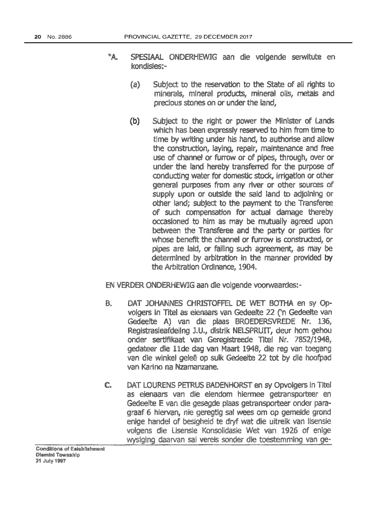- ×А. SPESIAAL ONDERHEWIG aan die volgende serwitute en kondisies:-
	- $\{a\}$ Subject to the reservation to the State of all rights to minerals, mineral products, mineral oils, metals and precious stones on or under the land.
	- $(b)$ Subject to the right or power the Minister of Lands which has been expressly reserved to him from time to time by writing under his hand, to authorise and allow the construction, laving, repair, maintenance and free use of channel or furrow or of pipes, through, over or under the land hereby transferred for the purpose of conducting water for domestic stock, irrigation or other general purposes from any river or other sources of supply upon or outside the said land to adjoining or other land; subject to the payment to the Transferee of such compensation for actual damage thereby occasioned to him as may be mutually agreed upon between the Transferee and the party or parties for whose benefit the channel or furrow is constructed, or pipes are laid, or failing such agreement, as may be determined by arbitration in the manner provided by the Arbitration Ordinance, 1904.

**EN VERDER ONDERHEWIG aan die volgende voorwaardes:-**

- ß. DAT JOHANNES CHRISTOFFEL DE WET BOTHA en sy OPvolgers In Titel as elenaars van Gedeelte 22 ('n Gedeelte van Gedeelte A) van die plaas BROEDERSVREDE Nr. 136. Registrasieafdeilng J.U., distrik NELSPRUIT, deur hom gehou onder sertifikaat van Geregistreede Titel Nr. 7852/1948, dedateer die 11de dad van Maart 1948, die reg van toegang van die winkel geleë op sulk Gedeelte 22 tot by die hoofpad van Karino na Nzamanzane.
- DAT LOURENS PETRUS BADENHORST en sy Opvolgers in Titel € as elenaars van die elendom hiermee getransporteer en Gedeelte E van die gesegde plaas getransporteer onder paragraaf 6 hiervan, nie geregtig sal wees om op gemelde grond enige handel of besigheid te dryf wat die uitrelk van lisensie volgens die Lisensie Konsolidasie Wet van 1926 of enige wysiging daarvan sal vereis sonder die toestemming van ge-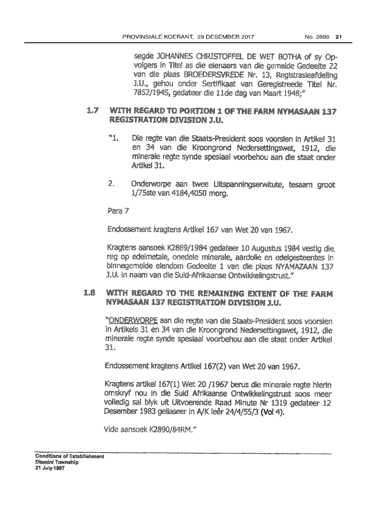seade JOHANNES CHRISTOFFEL DE WET BOTHA of sy Opvolgers in Titel as die eienaars van die gemelde Gedeelte 22 van die plaas BROEDERSVREDE Nr. 13, Registrasieafdeling J.U., gehou onder Sertifikaat van Geregistreede Titel Nr. *7852/1945*1 gedatoor die 1 ide dag van Maan *1948;\$1* 

## 1.7 WITH REGARD TO PORTION 1 OF THE FARM NYMASAAN 137 REGISTRATION DIVISION J.U.

- \\1. Ole regte wn die Staats-President soos voorslen in Artikel 31 en 34 van die Kroongrond Nedersettingswet, 1912, die mlnerale regte synde speslaa! voomehou aan die staat onder Artlkel31.
- 2. Onderworpe aan twee Ultspanningserwitute, tesaam groot *1/75ste van 4184,4050 morg.*

Para 7

Endossement kragtens Artikel 167 van Wet 20 van 1967.

Kragtens aansoek K2889/1984 gedateer 10 Augustus 1984 vestig die. reg op edelmetale, onedele minerale, aardolie en edelgesteentes in binnegemelde eiendom Gedeelte 1 van die plaas NYAMAZAAN 137 J.U. In naam van die Suid-Afrikaanse Ontwikkelingstrust."

## 1.8 WITH REGARD TO THE REMAINING EXTENT OF THE FARM NYMASAAN 137 REGISTRATION DIVISION J.U.

"ONDERWORPE aan die regte van die Staats-President soos voorsien in Artikels 31 en 34 van die Kroongrond Nedersettingswet, 1912, die minerale regte synde spesiaal voorbehou aan die staat onder Artikel 31.

Endossement kragtens Artikel 167(2) van Wet 20 van 1967.

Kragtens artikel 167(1) Wet 20 /1967 berus die minerale regte hierin omskryf now in die Suid Afrtkaanse Ontwikkelingstrust 500\$ meer volledig sal blyk uit Uitvoerende Raad Minute Nr 1319 gedateer 12 Desember 1983 geliaseer in *NK* leer 24/4/55/3 (Vol 4),

Vide aansoek K2890/84RM."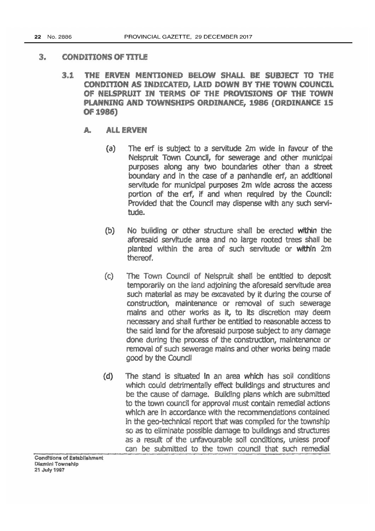### 2. CONDITIONS OF TITLE

- THE ERVEN MERITIONED BELOW SHALL BE SUBJECT TO THE 31 CONDITION AS INDICATED. LAID DOWN BY THE TOWN COUNCIL OF NELSPRUIT IN TERMS OF THE PROVISIONS OF THE TOWN PLANNING AND TOWNSHIPS ORDINANCE, 1986 (ORDINANCE 15 OF 1986)
	- ALL ERVEN A.,
		- The erf is subject to a servitude 2m wide in favour of the  $\{a\}$ Nelspruit Town Council, for sewerage and other municipal purposes along any two boundaries other than a street boundary and in the case of a panhandle erf, an additional servitude for municipal purposes 2m wide across the access portion of the erf, if and when required by the Council: Provided that the Council may dispense with any such servitude.
		- No building or other structure shall be erected within the  $(b)$ aforesaid servitude area and no large rooted trees shall be planted within the area of such servitude or within 2m thereof.
		- The Town Council of Nelspruit shall be entitled to deposit  $\langle C \rangle$ temporarily on the land adjoining the aforesaid servitude area such material as may be excavated by it during the course of construction, maintenance or renxival of such sewerage mains and other works as it, to its discretion may deem necessary and shall further be entitled to reasonable access to the said land for the aforesaid purpose subject to any damage done during the process of the construction, maintenance or removal of such sewerage mains and other works being made good by the Coundl
		- The stand is situated In an area which has soil conditions  $(d)$ which could detrimentally effect buildings and structures and be the cause of damage. Building plans which are submitted to the town council for approval must contain remedial actions which are in accordance with the recommendations contained in the geo-technical report that was compiled for the township so as to eliminate possible damage to buildings and structures as a result of the unfavourable soil conditions, unless proof can be submitted to the town council that such remedial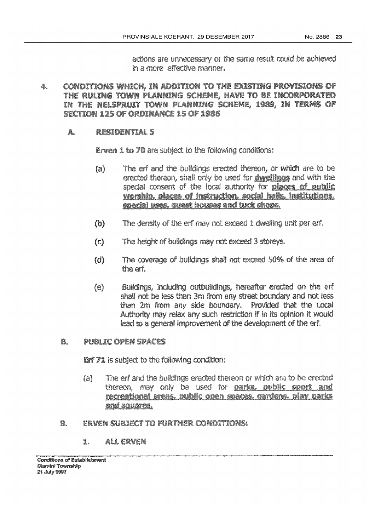actions are unnecessary or the same result could be achieved In a more effective manner.

- CONDITIONS WHICH. IN ADDITION TO THE EXISTING PROVISIONS OF Ø., THE RULING TOWN PLANNING SCHEME, HAVE TO BE INCORPORATED IN THE NELSPRUIT TOWN PLANNING SCHEME, 1989. IN TERMS OF SECTION 125 OF ORDINANCE 15 OF 1986
	- Ä. RESIDENTIAL 5

**Erven 1 to 70** are subject to the following conditions:

- $(a)$ The erf and the buildings erected thereon, or which are to be erected thereon, shall only be used for dwellings and with the special consent of the local authority for places of public worship, places of instruction, social halls, institutions, special uses, quest houses and tuck shops.
- The density of the erf may not exceed 1 dwelling unit per erf.  $(b)$
- $\mathcal{L}$ The height of bulklings may not exceed 3 storeys.
- The coverage of buildings shall not exceed 50% of the area of  $(d)$ the erf.
- Buildings, including outbuildings, hereafter erected on the erf  $(e)$ shall not be less than 3m from any street boundary and not less than 2m from any side boundary. Provided that the Local Authority may relax any such restriction if in its opinion it would lead to a general improvement of the development of the erf.

### PUBLIC OPEN SPACES 8.

**Erf 71** is subject to the following condition:

- The erf and the buildings erected thereon or which are to be erected  $(a)$ thereon, may only be used for parks, public sport and recreational areas, public open spaces, gardens, play parks and souares.
- Ð. **ERVEN SUBJECT TO FURTHER CONDITIONS:** 
	- ALL ERVEN 1.